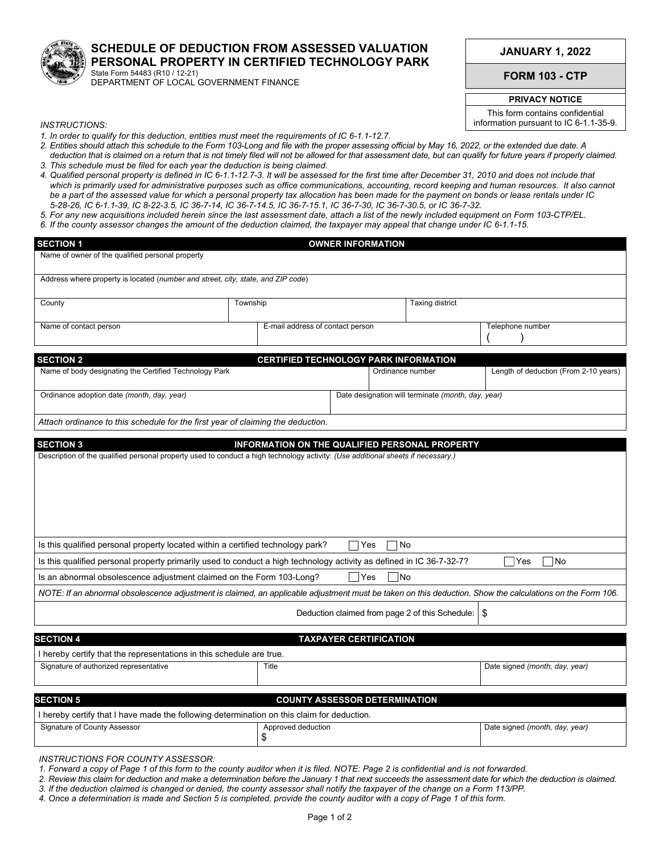

## **SCHEDULE OF DEDUCTION FROM ASSESSED VALUATION PERSONAL PROPERTY IN CERTIFIED TECHNOLOGY PARK**  State Form 54483 (R10 / 12-21)

DEPARTMENT OF LOCAL GOVERNMENT FINANCE

**JANUARY 1, 2022**

**FORM 103 - CTP**

**PRIVACY NOTICE** 

This form contains confidential information pursuant to IC 6-1.1-35-9.

*INSTRUCTIONS:* 

- *1. In order to qualify for this deduction, entities must meet the requirements of IC 6-1.1-12.7.*
- *2. Entities should attach this schedule to the Form 103-Long and file with the proper assessing official by May 16, 2022, or the extended due date. A deduction that is claimed on a return that is not timely filed will not be allowed for that assessment date, but can qualify for future years if properly claimed. 3. This schedule must be filed for each year the deduction is being claimed.*
- *4. Qualified personal property is defined in IC 6-1.1-12.7-3. It will be assessed for the first time after December 31, 2010 and does not include that which is primarily used for administrative purposes such as office communications, accounting, record keeping and human resources. It also cannot be a part of the assessed value for which a personal property tax allocation has been made for the payment on bonds or lease rentals under IC 5-28-26, IC 6-1.1-39, IC 8-22-3.5, IC 36-7-14, IC 36-7-14.5, IC 36-7-15.1, IC 36-7-30, IC 36-7-30.5, or IC 36-7-32.*
- *5. For any new acquisitions included herein since the last assessment date, attach a list of the newly included equipment on Form 103-CTP/EL.*
- *6. If the county assessor changes the amount of the deduction claimed, the taxpayer may appeal that change under IC 6-1.1-15.*

| <b>SECTION 1</b>                                                                                                                                          |                                                       | <b>OWNER INFORMATION</b>                        |                  |                                       |  |
|-----------------------------------------------------------------------------------------------------------------------------------------------------------|-------------------------------------------------------|-------------------------------------------------|------------------|---------------------------------------|--|
| Name of owner of the qualified personal property                                                                                                          |                                                       |                                                 |                  |                                       |  |
| Address where property is located (number and street, city, state, and ZIP code)                                                                          |                                                       |                                                 |                  |                                       |  |
| County                                                                                                                                                    | Township                                              |                                                 | Taxing district  |                                       |  |
| Name of contact person                                                                                                                                    | E-mail address of contact person                      |                                                 | Telephone number |                                       |  |
| <b>SECTION 2</b>                                                                                                                                          |                                                       | <b>CERTIFIED TECHNOLOGY PARK INFORMATION</b>    |                  |                                       |  |
| Name of body designating the Certified Technology Park                                                                                                    |                                                       | Ordinance number                                |                  | Length of deduction (From 2-10 years) |  |
| Ordinance adoption date (month, day, year)                                                                                                                | Date designation will terminate (month, day, year)    |                                                 |                  |                                       |  |
| Attach ordinance to this schedule for the first year of claiming the deduction.                                                                           |                                                       |                                                 |                  |                                       |  |
| <b>SECTION 3</b>                                                                                                                                          | <b>INFORMATION ON THE QUALIFIED PERSONAL PROPERTY</b> |                                                 |                  |                                       |  |
|                                                                                                                                                           |                                                       |                                                 |                  |                                       |  |
| Is this qualified personal property located within a certified technology park?                                                                           |                                                       | Yes<br>1 No                                     |                  |                                       |  |
| Is this qualified personal property primarily used to conduct a high technology activity as defined in IC 36-7-32-7?                                      |                                                       |                                                 |                  | Yes<br>l No                           |  |
| Is an abnormal obsolescence adjustment claimed on the Form 103-Long?                                                                                      |                                                       | $\exists$ Yes<br> No                            |                  |                                       |  |
| NOTE: If an abnormal obsolescence adjustment is claimed, an applicable adjustment must be taken on this deduction. Show the calculations on the Form 106. |                                                       |                                                 |                  |                                       |  |
|                                                                                                                                                           |                                                       | Deduction claimed from page 2 of this Schedule: |                  | -\$                                   |  |
| <b>SECTION 4</b>                                                                                                                                          |                                                       | <b>TAXPAYER CERTIFICATION</b>                   |                  |                                       |  |
| I hereby certify that the representations in this schedule are true.                                                                                      |                                                       |                                                 |                  |                                       |  |
| Signature of authorized representative                                                                                                                    | Title                                                 |                                                 |                  | Date signed (month, day, year)        |  |
|                                                                                                                                                           |                                                       |                                                 |                  |                                       |  |
| <b>SECTION 5</b><br>I hereby certify that I have made the following determination on this claim for deduction.                                            |                                                       | <b>COUNTY ASSESSOR DETERMINATION</b>            |                  |                                       |  |
| Signature of County Assessor                                                                                                                              | Approved deduction<br>\$                              |                                                 |                  | Date signed (month, day, year)        |  |
| MOTDIIOTOMO FOD COI INTV A OQCOOO                                                                                                                         |                                                       |                                                 |                  |                                       |  |

*INSTRUCTIONS FOR COUNTY ASSESSOR:* 

*1. Forward a copy of Page 1 of this form to the county auditor when it is filed. NOTE: Page 2 is confidential and is not forwarded.*

*2. Review this claim for deduction and make a determination before the January 1 that next succeeds the assessment date for which the deduction is claimed. 3. If the deduction claimed is changed or denied, the county assessor shall notify the taxpayer of the change on a Form 113/PP.*

*4. Once a determination is made and Section 5 is completed, provide the county auditor with a copy of Page 1 of this form.*